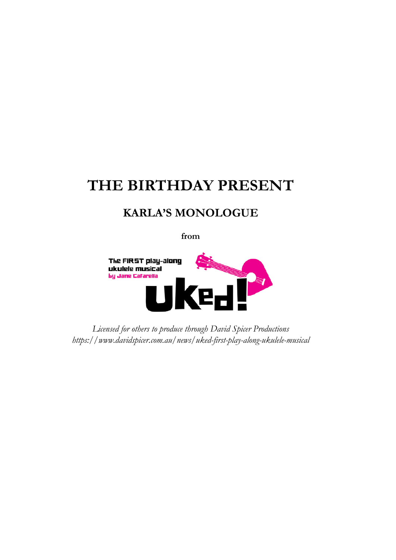# **THE BIRTHDAY PRESENT**

# **KARLA'S MONOLOGUE**

**from**



*Licensed for others to produce through David Spicer Productions https://www.davidspicer.com.au/news/uked-first-play-along-ukulele-musical*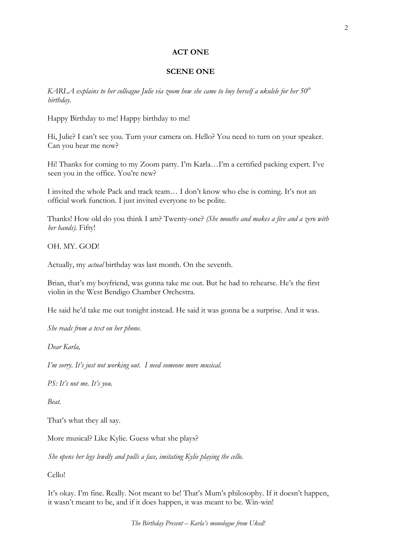# **ACT ONE**

### **SCENE ONE**

*KARLA explains to her colleague Julie via zoom how she came to buy herself a ukulele for her 50th birthday.*

Happy Birthday to me! Happy birthday to me!

Hi, Julie? I can't see you. Turn your camera on. Hello? You need to turn on your speaker. Can you hear me now?

Hi! Thanks for coming to my Zoom party. I'm Karla…I'm a certified packing expert. I've seen you in the office. You're new?

I invited the whole Pack and track team… I don't know who else is coming. It's not an official work function. I just invited everyone to be polite.

Thanks! How old do you think I am? Twenty-one? *(She mouths and makes a five and a zero with her hands).* Fifty!

OH. MY. GOD!

Actually, my *actual* birthday was last month. On the seventh.

Brian, that's my boyfriend, was gonna take me out. But he had to rehearse. He's the first violin in the West Bendigo Chamber Orchestra.

He said he'd take me out tonight instead. He said it was gonna be a surprise. And it was.

*She reads from a text on her phone.* 

*Dear Karla,*

*I'm sorry. It's just not working out. I need someone more musical.* 

*PS: It's not me. It's you.* 

*Beat.* 

That's what they all say.

More musical? Like Kylie. Guess what she plays?

*She opens her legs lewdly and pulls a face, imitating Kylie playing the cello.*

Cello!

It's okay. I'm fine. Really. Not meant to be! That's Mum's philosophy. If it doesn't happen, it wasn't meant to be, and if it does happen, it was meant to be. Win-win!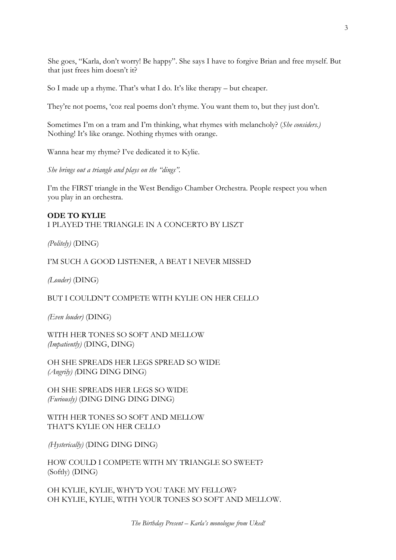She goes, "Karla, don't worry! Be happy". She says I have to forgive Brian and free myself. But that just frees him doesn't it?

So I made up a rhyme. That's what I do. It's like therapy – but cheaper.

They're not poems, 'coz real poems don't rhyme. You want them to, but they just don't.

Sometimes I'm on a tram and I'm thinking, what rhymes with melancholy? (*She considers.)* Nothing! It's like orange. Nothing rhymes with orange.

Wanna hear my rhyme? I've dedicated it to Kylie.

*She brings out a triangle and plays on the "dings".* 

I'm the FIRST triangle in the West Bendigo Chamber Orchestra. People respect you when you play in an orchestra.

# **ODE TO KYLIE**  I PLAYED THE TRIANGLE IN A CONCERTO BY LISZT

*(Politely)* (DING)

I'M SUCH A GOOD LISTENER, A BEAT I NEVER MISSED

*(Louder)* (DING)

BUT I COULDN'T COMPETE WITH KYLIE ON HER CELLO

*(Even louder)* (DING)

WITH HER TONES SO SOFT AND MELLOW *(Impatiently)* (DING, DING)

OH SHE SPREADS HER LEGS SPREAD SO WIDE *(Angrily) (*DING DING DING)

OH SHE SPREADS HER LEGS SO WIDE *(Furiously)* (DING DING DING DING)

WITH HER TONES SO SOFT AND MELLOW THAT'S KYLIE ON HER CELLO

*(Hysterically)* (DING DING DING)

HOW COULD I COMPETE WITH MY TRIANGLE SO SWEET? (Softly) (DING)

OH KYLIE, KYLIE, WHY'D YOU TAKE MY FELLOW? OH KYLIE, KYLIE, WITH YOUR TONES SO SOFT AND MELLOW.

*The Birthday Present – Karla's monologue from Uked!*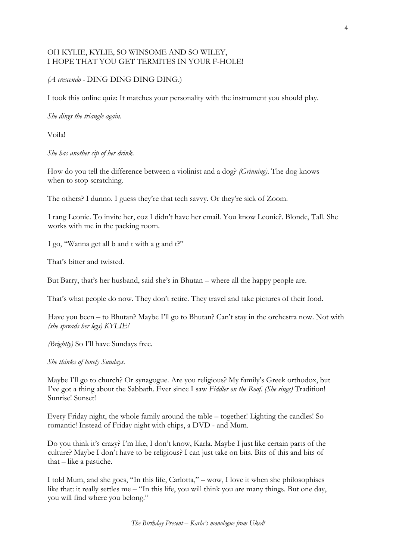# OH KYLIE, KYLIE, SO WINSOME AND SO WILEY, I HOPE THAT YOU GET TERMITES IN YOUR F-HOLE!

# *(A crescendo -* DING DING DING DING.)

I took this online quiz: It matches your personality with the instrument you should play.

*She dings the triangle again.*

Voila!

*She has another sip of her drink.* 

How do you tell the difference between a violinist and a dog? *(Grinning)*. The dog knows when to stop scratching.

The others? I dunno. I guess they're that tech savvy. Or they're sick of Zoom.

I rang Leonie. To invite her, coz I didn't have her email. You know Leonie?. Blonde, Tall. She works with me in the packing room.

I go, "Wanna get all b and t with a g and t?"

That's bitter and twisted.

But Barry, that's her husband, said she's in Bhutan – where all the happy people are.

That's what people do now. They don't retire. They travel and take pictures of their food.

Have you been – to Bhutan? Maybe I'll go to Bhutan? Can't stay in the orchestra now. Not with *(she spreads her legs) KYLIE!*

*(Brightly)* So I'll have Sundays free.

*She thinks of lonely Sundays.* 

Maybe I'll go to church? Or synagogue. Are you religious? My family's Greek orthodox, but I've got a thing about the Sabbath. Ever since I saw *Fiddler on the Roof. (She sings)* Tradition! Sunrise! Sunset!

Every Friday night, the whole family around the table – together! Lighting the candles! So romantic! Instead of Friday night with chips, a DVD - and Mum.

Do you think it's crazy? I'm like, I don't know, Karla. Maybe I just like certain parts of the culture? Maybe I don't have to be religious? I can just take on bits. Bits of this and bits of that – like a pastiche.

I told Mum, and she goes, "In this life, Carlotta," – wow, I love it when she philosophises like that: it really settles me – "In this life, you will think you are many things. But one day, you will find where you belong."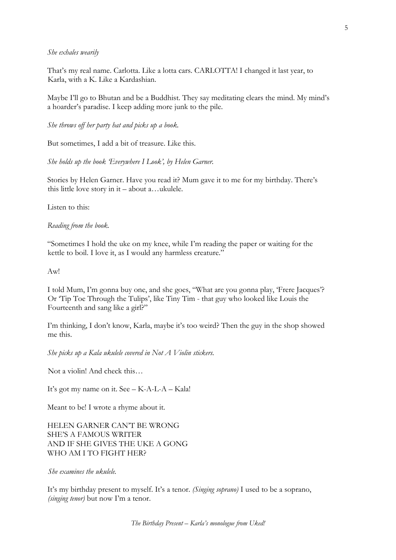#### *She exhales wearily*

That's my real name. Carlotta. Like a lotta cars. CARLOTTA! I changed it last year, to Karla, with a K. Like a Kardashian.

Maybe I'll go to Bhutan and be a Buddhist. They say meditating clears the mind. My mind's a hoarder's paradise. I keep adding more junk to the pile.

*She throws off her party hat and picks up a book.* 

But sometimes, I add a bit of treasure. Like this.

*She holds up the book 'Everywhere I Look', by Helen Garner.* 

Stories by Helen Garner. Have you read it? Mum gave it to me for my birthday. There's this little love story in it – about a…ukulele.

Listen to this:

*Reading from the book.* 

"Sometimes I hold the uke on my knee, while I'm reading the paper or waiting for the kettle to boil. I love it, as I would any harmless creature."

Aw!

I told Mum, I'm gonna buy one, and she goes, "What are you gonna play, 'Frere Jacques'? Or 'Tip Toe Through the Tulips', like Tiny Tim - that guy who looked like Louis the Fourteenth and sang like a girl?"

I'm thinking, I don't know, Karla, maybe it's too weird? Then the guy in the shop showed me this.

*She picks up a Kala ukulele covered in Not A Violin stickers.* 

Not a violin! And check this…

It's got my name on it. See – K-A-L-A – Kala!

Meant to be! I wrote a rhyme about it.

HELEN GARNER CAN'T BE WRONG SHE'S A FAMOUS WRITER AND IF SHE GIVES THE UKE A GONG WHO AM I TO FIGHT HER?

*She examines the ukulele.* 

It's my birthday present to myself. It's a tenor. *(Singing soprano)* I used to be a soprano, *(singing tenor)* but now I'm a tenor.

5